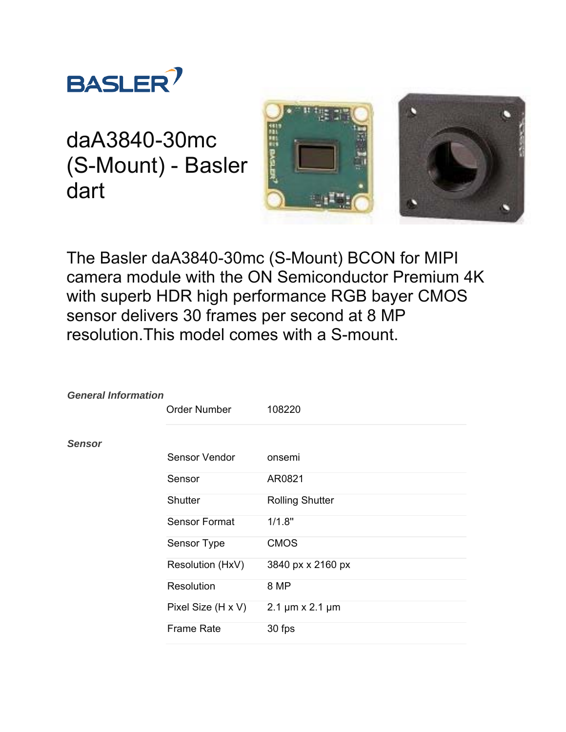

daA3840-30mc (S-Mount) - Basler dart



The Basler daA3840-30mc (S-Mount) BCON for MIPI camera module with the ON Semiconductor Premium 4K with superb HDR high performance RGB bayer CMOS sensor delivers 30 frames per second at 8 MP resolution.This model comes with a S-mount.

| <b>General Information</b> | <b>Order Number</b>  | 108220                           |
|----------------------------|----------------------|----------------------------------|
| <b>Sensor</b>              |                      |                                  |
|                            | Sensor Vendor        | onsemi                           |
|                            | Sensor               | AR0821                           |
|                            | <b>Shutter</b>       | <b>Rolling Shutter</b>           |
|                            | <b>Sensor Format</b> | 1/1.8"                           |
|                            | Sensor Type          | <b>CMOS</b>                      |
|                            | Resolution (HxV)     | 3840 px x 2160 px                |
|                            | <b>Resolution</b>    | 8 MP                             |
|                            | Pixel Size (H x V)   | $2.1 \,\mu m \times 2.1 \,\mu m$ |
|                            | <b>Frame Rate</b>    | 30 fps                           |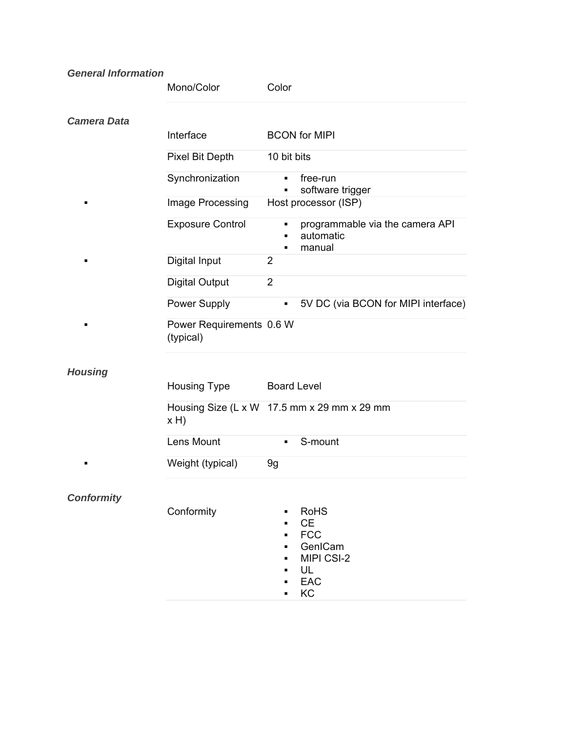## *General Information*

|                    | Mono/Color                            | Color                                                                                                  |
|--------------------|---------------------------------------|--------------------------------------------------------------------------------------------------------|
| <b>Camera Data</b> |                                       |                                                                                                        |
|                    | Interface                             | <b>BCON</b> for MIPI                                                                                   |
|                    | Pixel Bit Depth                       | 10 bit bits                                                                                            |
|                    | Synchronization                       | free-run<br>٠<br>software trigger                                                                      |
| п                  | Image Processing                      | Host processor (ISP)                                                                                   |
|                    | <b>Exposure Control</b>               | programmable via the camera API<br>٠<br>automatic<br>п<br>manual<br>٠                                  |
| п                  | Digital Input                         | 2                                                                                                      |
|                    | <b>Digital Output</b>                 | $\overline{2}$                                                                                         |
|                    | Power Supply                          | 5V DC (via BCON for MIPI interface)<br>٠                                                               |
| ٠                  | Power Requirements 0.6 W<br>(typical) |                                                                                                        |
| <b>Housing</b>     |                                       |                                                                                                        |
|                    | Housing Type                          | <b>Board Level</b>                                                                                     |
|                    | x H                                   | Housing Size (L x W 17.5 mm x 29 mm x 29 mm                                                            |
|                    | Lens Mount                            | S-mount<br>٠                                                                                           |
| п                  | Weight (typical)                      | 9g                                                                                                     |
| <b>Conformity</b>  |                                       |                                                                                                        |
|                    | Conformity                            | <b>RoHS</b><br><b>CE</b><br><b>FCC</b><br>٠<br>GenICam<br>٠<br>MIPI CSI-2<br>٠<br>UL<br>٠<br>EAC<br>KC |